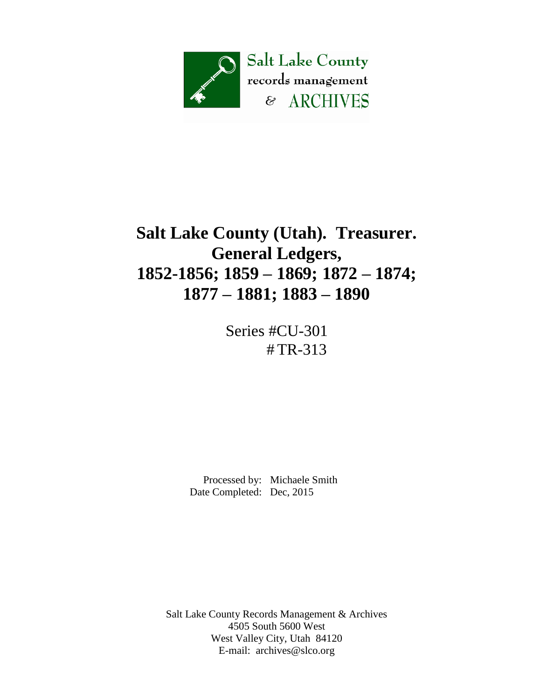

# **Salt Lake County (Utah). Treasurer. General Ledgers, 1852-1856; 1859 – 1869; 1872 – 1874; 1877 – 1881; 1883 – 1890**

Series #CU-301 # TR-313

 Processed by: Michaele Smith Date Completed: Dec, 2015

Salt Lake County Records Management & Archives 4505 South 5600 West West Valley City, Utah 84120 E-mail: [archives@slco.org](mailto:archives@slco.org)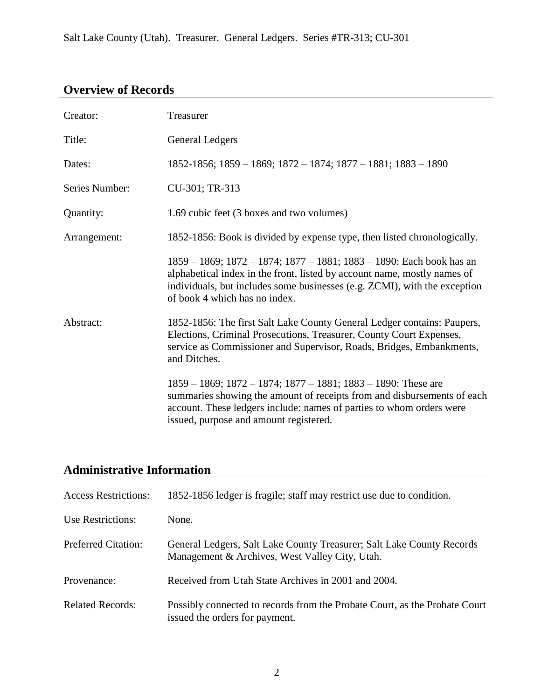## **Overview of Records**

| Creator:       | Treasurer                                                                                                                                                                                                                                                              |
|----------------|------------------------------------------------------------------------------------------------------------------------------------------------------------------------------------------------------------------------------------------------------------------------|
| Title:         | <b>General Ledgers</b>                                                                                                                                                                                                                                                 |
| Dates:         | $1852-1856$ ; $1859-1869$ ; $1872-1874$ ; $1877-1881$ ; $1883-1890$                                                                                                                                                                                                    |
| Series Number: | CU-301; TR-313                                                                                                                                                                                                                                                         |
| Quantity:      | 1.69 cubic feet (3 boxes and two volumes)                                                                                                                                                                                                                              |
| Arrangement:   | 1852-1856: Book is divided by expense type, then listed chronologically.                                                                                                                                                                                               |
|                | 1859 – 1869; 1872 – 1874; 1877 – 1881; 1883 – 1890: Each book has an<br>alphabetical index in the front, listed by account name, mostly names of<br>individuals, but includes some businesses (e.g. ZCMI), with the exception<br>of book 4 which has no index.         |
| Abstract:      | 1852-1856: The first Salt Lake County General Ledger contains: Paupers,<br>Elections, Criminal Prosecutions, Treasurer, County Court Expenses,<br>service as Commissioner and Supervisor, Roads, Bridges, Embankments,<br>and Ditches.                                 |
|                | $1859 - 1869$ ; $1872 - 1874$ ; $1877 - 1881$ ; $1883 - 1890$ : These are<br>summaries showing the amount of receipts from and disbursements of each<br>account. These ledgers include: names of parties to whom orders were<br>issued, purpose and amount registered. |

### **Administrative Information**

| <b>Access Restrictions:</b> | 1852-1856 ledger is fragile; staff may restrict use due to condition.                                                   |
|-----------------------------|-------------------------------------------------------------------------------------------------------------------------|
| Use Restrictions:           | None.                                                                                                                   |
| <b>Preferred Citation:</b>  | General Ledgers, Salt Lake County Treasurer; Salt Lake County Records<br>Management & Archives, West Valley City, Utah. |
| Provenance:                 | Received from Utah State Archives in 2001 and 2004.                                                                     |
| <b>Related Records:</b>     | Possibly connected to records from the Probate Court, as the Probate Court<br>issued the orders for payment.            |